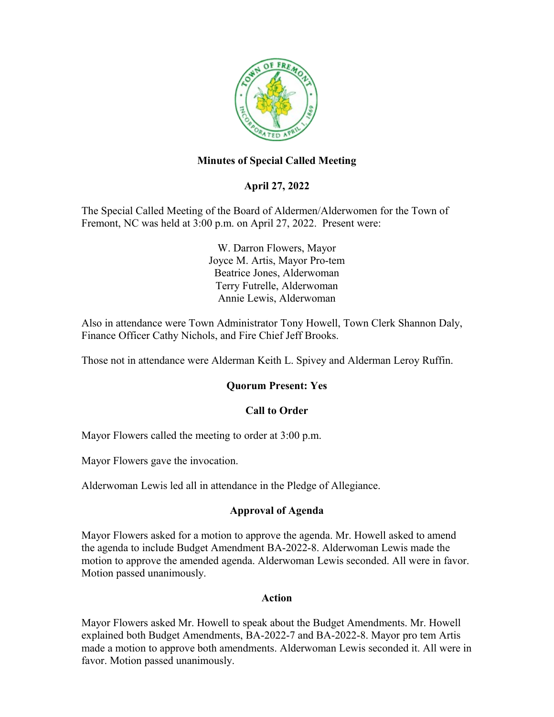

## **Minutes of Special Called Meeting**

## **April 27, 2022**

The Special Called Meeting of the Board of Aldermen/Alderwomen for the Town of Fremont, NC was held at 3:00 p.m. on April 27, 2022. Present were:

> W. Darron Flowers, Mayor Joyce M. Artis, Mayor Pro-tem Beatrice Jones, Alderwoman Terry Futrelle, Alderwoman Annie Lewis, Alderwoman

Also in attendance were Town Administrator Tony Howell, Town Clerk Shannon Daly, Finance Officer Cathy Nichols, and Fire Chief Jeff Brooks.

Those not in attendance were Alderman Keith L. Spivey and Alderman Leroy Ruffin.

#### **Quorum Present: Yes**

#### **Call to Order**

Mayor Flowers called the meeting to order at 3:00 p.m.

Mayor Flowers gave the invocation.

Alderwoman Lewis led all in attendance in the Pledge of Allegiance.

### **Approval of Agenda**

Mayor Flowers asked for a motion to approve the agenda. Mr. Howell asked to amend the agenda to include Budget Amendment BA-2022-8. Alderwoman Lewis made the motion to approve the amended agenda. Alderwoman Lewis seconded. All were in favor. Motion passed unanimously.

#### **Action**

Mayor Flowers asked Mr. Howell to speak about the Budget Amendments. Mr. Howell explained both Budget Amendments, BA-2022-7 and BA-2022-8. Mayor pro tem Artis made a motion to approve both amendments. Alderwoman Lewis seconded it. All were in favor. Motion passed unanimously.